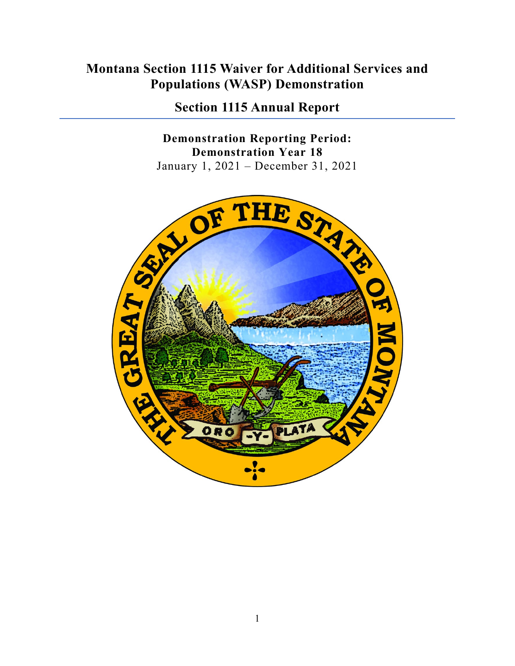# **Montana Section 1115 Waiver for Additional Services and Populations (WASP) Demonstration**

**Section 1115 Annual Report**

**Demonstration Reporting Period: Demonstration Year 18**

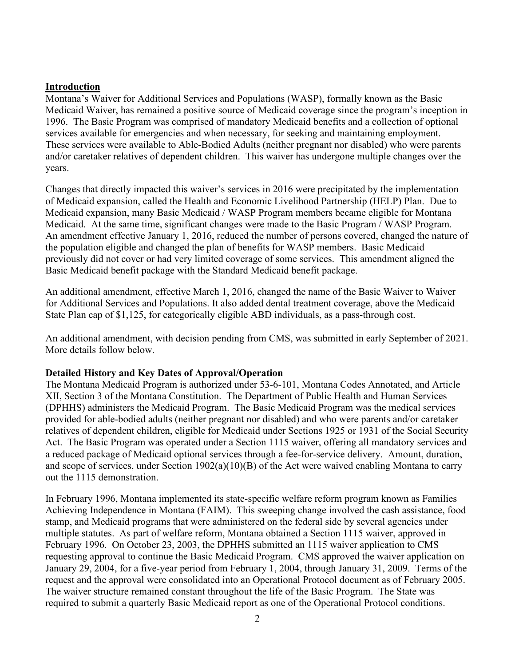#### **Introduction**

Montana's Waiver for Additional Services and Populations (WASP), formally known as the Basic Medicaid Waiver, has remained a positive source of Medicaid coverage since the program's inception in 1996. The Basic Program was comprised of mandatory Medicaid benefits and a collection of optional services available for emergencies and when necessary, for seeking and maintaining employment. These services were available to Able-Bodied Adults (neither pregnant nor disabled) who were parents and/or caretaker relatives of dependent children. This waiver has undergone multiple changes over the years.

Changes that directly impacted this waiver's services in 2016 were precipitated by the implementation of Medicaid expansion, called the Health and Economic Livelihood Partnership (HELP) Plan. Due to Medicaid expansion, many Basic Medicaid / WASP Program members became eligible for Montana Medicaid. At the same time, significant changes were made to the Basic Program / WASP Program. An amendment effective January 1, 2016, reduced the number of persons covered, changed the nature of the population eligible and changed the plan of benefits for WASP members. Basic Medicaid previously did not cover or had very limited coverage of some services. This amendment aligned the Basic Medicaid benefit package with the Standard Medicaid benefit package.

An additional amendment, effective March 1, 2016, changed the name of the Basic Waiver to Waiver for Additional Services and Populations. It also added dental treatment coverage, above the Medicaid State Plan cap of \$1,125, for categorically eligible ABD individuals, as a pass-through cost.

An additional amendment, with decision pending from CMS, was submitted in early September of 2021. More details follow below.

#### **Detailed History and Key Dates of Approval/Operation**

The Montana Medicaid Program is authorized under 53-6-101, Montana Codes Annotated, and Article XII, Section 3 of the Montana Constitution. The Department of Public Health and Human Services (DPHHS) administers the Medicaid Program. The Basic Medicaid Program was the medical services provided for able-bodied adults (neither pregnant nor disabled) and who were parents and/or caretaker relatives of dependent children, eligible for Medicaid under Sections 1925 or 1931 of the Social Security Act. The Basic Program was operated under a Section 1115 waiver, offering all mandatory services and a reduced package of Medicaid optional services through a fee-for-service delivery. Amount, duration, and scope of services, under Section 1902(a)(10)(B) of the Act were waived enabling Montana to carry out the 1115 demonstration.

In February 1996, Montana implemented its state-specific welfare reform program known as Families Achieving Independence in Montana (FAIM). This sweeping change involved the cash assistance, food stamp, and Medicaid programs that were administered on the federal side by several agencies under multiple statutes. As part of welfare reform, Montana obtained a Section 1115 waiver, approved in February 1996. On October 23, 2003, the DPHHS submitted an 1115 waiver application to CMS requesting approval to continue the Basic Medicaid Program. CMS approved the waiver application on January 29, 2004, for a five-year period from February 1, 2004, through January 31, 2009. Terms of the request and the approval were consolidated into an Operational Protocol document as of February 2005. The waiver structure remained constant throughout the life of the Basic Program. The State was required to submit a quarterly Basic Medicaid report as one of the Operational Protocol conditions.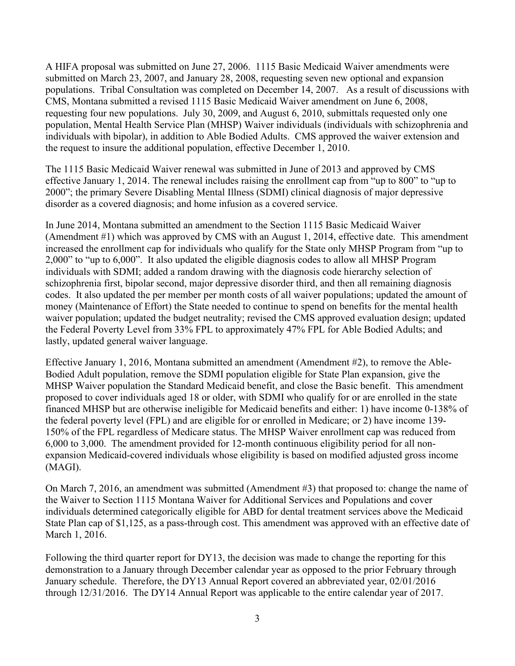A HIFA proposal was submitted on June 27, 2006. 1115 Basic Medicaid Waiver amendments were submitted on March 23, 2007, and January 28, 2008, requesting seven new optional and expansion populations. Tribal Consultation was completed on December 14, 2007. As a result of discussions with CMS, Montana submitted a revised 1115 Basic Medicaid Waiver amendment on June 6, 2008, requesting four new populations. July 30, 2009, and August 6, 2010, submittals requested only one population, Mental Health Service Plan (MHSP) Waiver individuals (individuals with schizophrenia and individuals with bipolar), in addition to Able Bodied Adults. CMS approved the waiver extension and the request to insure the additional population, effective December 1, 2010.

The 1115 Basic Medicaid Waiver renewal was submitted in June of 2013 and approved by CMS effective January 1, 2014. The renewal includes raising the enrollment cap from "up to 800" to "up to 2000"; the primary Severe Disabling Mental Illness (SDMI) clinical diagnosis of major depressive disorder as a covered diagnosis; and home infusion as a covered service.

In June 2014, Montana submitted an amendment to the Section 1115 Basic Medicaid Waiver (Amendment #1) which was approved by CMS with an August 1, 2014, effective date. This amendment increased the enrollment cap for individuals who qualify for the State only MHSP Program from "up to 2,000" to "up to 6,000". It also updated the eligible diagnosis codes to allow all MHSP Program individuals with SDMI; added a random drawing with the diagnosis code hierarchy selection of schizophrenia first, bipolar second, major depressive disorder third, and then all remaining diagnosis codes. It also updated the per member per month costs of all waiver populations; updated the amount of money (Maintenance of Effort) the State needed to continue to spend on benefits for the mental health waiver population; updated the budget neutrality; revised the CMS approved evaluation design; updated the Federal Poverty Level from 33% FPL to approximately 47% FPL for Able Bodied Adults; and lastly, updated general waiver language.

Effective January 1, 2016, Montana submitted an amendment (Amendment #2), to remove the Able-Bodied Adult population, remove the SDMI population eligible for State Plan expansion, give the MHSP Waiver population the Standard Medicaid benefit, and close the Basic benefit. This amendment proposed to cover individuals aged 18 or older, with SDMI who qualify for or are enrolled in the state financed MHSP but are otherwise ineligible for Medicaid benefits and either: 1) have income 0-138% of the federal poverty level (FPL) and are eligible for or enrolled in Medicare; or 2) have income 139- 150% of the FPL regardless of Medicare status. The MHSP Waiver enrollment cap was reduced from 6,000 to 3,000. The amendment provided for 12-month continuous eligibility period for all nonexpansion Medicaid-covered individuals whose eligibility is based on modified adjusted gross income (MAGI).

On March 7, 2016, an amendment was submitted (Amendment #3) that proposed to: change the name of the Waiver to Section 1115 Montana Waiver for Additional Services and Populations and cover individuals determined categorically eligible for ABD for dental treatment services above the Medicaid State Plan cap of \$1,125, as a pass-through cost. This amendment was approved with an effective date of March 1, 2016.

Following the third quarter report for DY13, the decision was made to change the reporting for this demonstration to a January through December calendar year as opposed to the prior February through January schedule. Therefore, the DY13 Annual Report covered an abbreviated year, 02/01/2016 through 12/31/2016. The DY14 Annual Report was applicable to the entire calendar year of 2017.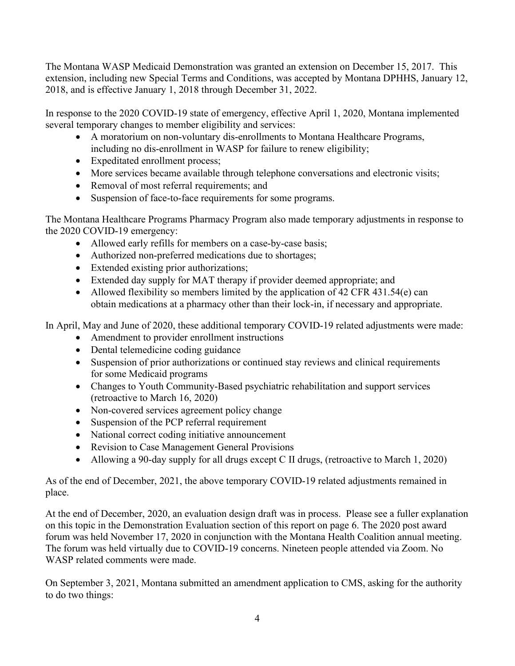The Montana WASP Medicaid Demonstration was granted an extension on December 15, 2017. This extension, including new Special Terms and Conditions, was accepted by Montana DPHHS, January 12, 2018, and is effective January 1, 2018 through December 31, 2022.

In response to the 2020 COVID-19 state of emergency, effective April 1, 2020, Montana implemented several temporary changes to member eligibility and services:

- A moratorium on non-voluntary dis-enrollments to Montana Healthcare Programs, including no dis-enrollment in WASP for failure to renew eligibility;
- Expeditated enrollment process;
- More services became available through telephone conversations and electronic visits;
- Removal of most referral requirements; and
- Suspension of face-to-face requirements for some programs.

The Montana Healthcare Programs Pharmacy Program also made temporary adjustments in response to the 2020 COVID-19 emergency:

- Allowed early refills for members on a case-by-case basis;
- Authorized non-preferred medications due to shortages;
- Extended existing prior authorizations;
- Extended day supply for MAT therapy if provider deemed appropriate; and
- Allowed flexibility so members limited by the application of 42 CFR 431.54(e) can obtain medications at a pharmacy other than their lock-in, if necessary and appropriate.

In April, May and June of 2020, these additional temporary COVID-19 related adjustments were made:

- Amendment to provider enrollment instructions
- Dental telemedicine coding guidance
- Suspension of prior authorizations or continued stay reviews and clinical requirements for some Medicaid programs
- Changes to Youth Community-Based psychiatric rehabilitation and support services (retroactive to March 16, 2020)
- Non-covered services agreement policy change
- Suspension of the PCP referral requirement
- National correct coding initiative announcement
- Revision to Case Management General Provisions
- Allowing a 90-day supply for all drugs except C II drugs, (retroactive to March 1, 2020)

As of the end of December, 2021, the above temporary COVID-19 related adjustments remained in place.

At the end of December, 2020, an evaluation design draft was in process. Please see a fuller explanation on this topic in the Demonstration Evaluation section of this report on page 6. The 2020 post award forum was held November 17, 2020 in conjunction with the Montana Health Coalition annual meeting. The forum was held virtually due to COVID-19 concerns. Nineteen people attended via Zoom. No WASP related comments were made.

On September 3, 2021, Montana submitted an amendment application to CMS, asking for the authority to do two things: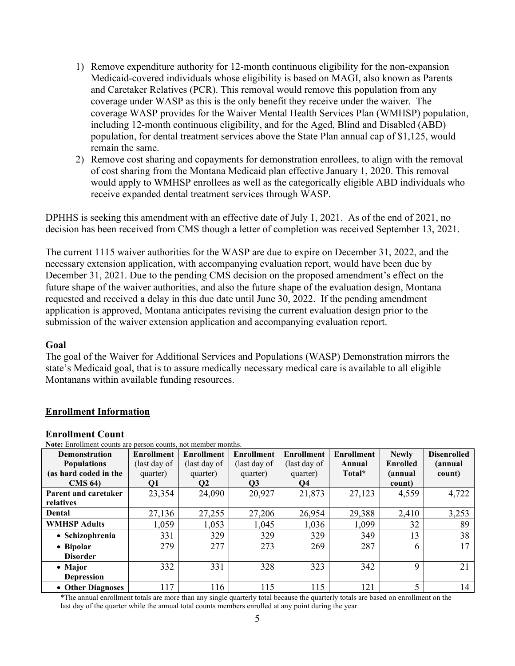- 1) Remove expenditure authority for 12-month continuous eligibility for the non-expansion Medicaid-covered individuals whose eligibility is based on MAGI, also known as Parents and Caretaker Relatives (PCR). This removal would remove this population from any coverage under WASP as this is the only benefit they receive under the waiver. The coverage WASP provides for the Waiver Mental Health Services Plan (WMHSP) population, including 12-month continuous eligibility, and for the Aged, Blind and Disabled (ABD) population, for dental treatment services above the State Plan annual cap of \$1,125, would remain the same.
- 2) Remove cost sharing and copayments for demonstration enrollees, to align with the removal of cost sharing from the Montana Medicaid plan effective January 1, 2020. This removal would apply to WMHSP enrollees as well as the categorically eligible ABD individuals who receive expanded dental treatment services through WASP.

DPHHS is seeking this amendment with an effective date of July 1, 2021. As of the end of 2021, no decision has been received from CMS though a letter of completion was received September 13, 2021.

The current 1115 waiver authorities for the WASP are due to expire on December 31, 2022, and the necessary extension application, with accompanying evaluation report, would have been due by December 31, 2021. Due to the pending CMS decision on the proposed amendment's effect on the future shape of the waiver authorities, and also the future shape of the evaluation design, Montana requested and received a delay in this due date until June 30, 2022. If the pending amendment application is approved, Montana anticipates revising the current evaluation design prior to the submission of the waiver extension application and accompanying evaluation report.

#### **Goal**

The goal of the Waiver for Additional Services and Populations (WASP) Demonstration mirrors the state's Medicaid goal, that is to assure medically necessary medical care is available to all eligible Montanans within available funding resources.

#### **Enrollment Information**

| TWIE, EMONIFIEM COUNTS ALE DETSON COUNTS, NOT HIGHTOGE HIORNEYS. |                   |                   |                   |                   |                   |                 |                    |
|------------------------------------------------------------------|-------------------|-------------------|-------------------|-------------------|-------------------|-----------------|--------------------|
| Demonstration                                                    | <b>Enrollment</b> | <b>Enrollment</b> | <b>Enrollment</b> | <b>Enrollment</b> | <b>Enrollment</b> | <b>Newly</b>    | <b>Disenrolled</b> |
| <b>Populations</b>                                               | (last day of      | (last day of      | (last day of      | (last day of      | Annual            | <b>Enrolled</b> | <i>(annual</i>     |
| (as hard coded in the                                            | quarter)          | quarter)          | quarter)          | quarter)          | Total*            | (annual         | count)             |
| $CMS$ 64)                                                        | Q1                | $\mathbf{Q}$      | Q3                | Q4                |                   | count)          |                    |
| Parent and caretaker                                             | 23,354            | 24,090            | 20,927            | 21,873            | 27,123            | 4,559           | 4,722              |
| relatives                                                        |                   |                   |                   |                   |                   |                 |                    |
| Dental                                                           | 27,136            | 27,255            | 27,206            | 26,954            | 29,388            | 2,410           | 3,253              |
| <b>WMHSP Adults</b>                                              | 1,059             | 1,053             | 1,045             | 1,036             | 1,099             | 32              | 89                 |
| • Schizophrenia                                                  | 331               | 329               | 329               | 329               | 349               | 13              | 38                 |
| • Bipolar                                                        | 279               | 277               | 273               | 269               | 287               | 6               | 17                 |
| <b>Disorder</b>                                                  |                   |                   |                   |                   |                   |                 |                    |
| • Major                                                          | 332               | 331               | 328               | 323               | 342               | 9               | 21                 |
| <b>Depression</b>                                                |                   |                   |                   |                   |                   |                 |                    |
| • Other Diagnoses                                                | 117               | 116               | 115               | 115               | 121               | 5               | 14                 |

**Enrollment Count<br>Note:** Enrollment counts are person counts, not member months.

\*The annual enrollment totals are more than any single quarterly total because the quarterly totals are based on enrollment on the last day of the quarter while the annual total counts members enrolled at any point during the year.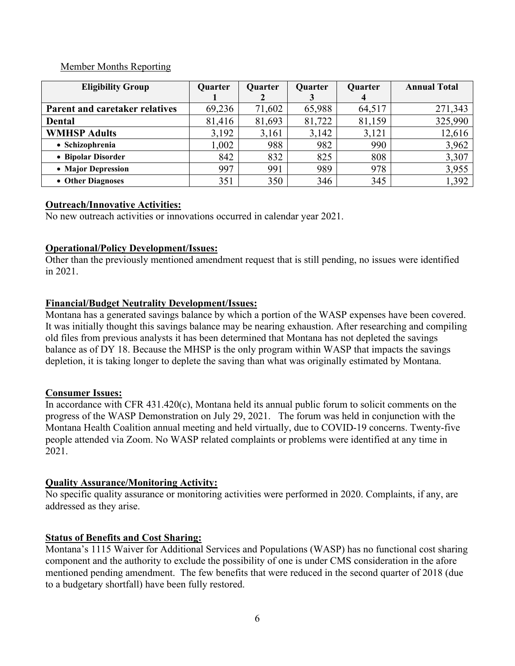#### Member Months Reporting

| <b>Eligibility Group</b>              | Quarter | Quarter | Quarter | Quarter | <b>Annual Total</b> |
|---------------------------------------|---------|---------|---------|---------|---------------------|
|                                       |         |         |         |         |                     |
| <b>Parent and caretaker relatives</b> | 69,236  | 71,602  | 65,988  | 64,517  | 271,343             |
| <b>Dental</b>                         | 81,416  | 81,693  | 81,722  | 81,159  | 325,990             |
| <b>WMHSP Adults</b>                   | 3,192   | 3,161   | 3,142   | 3,121   | 12,616              |
| • Schizophrenia                       | 1,002   | 988     | 982     | 990     | 3,962               |
| • Bipolar Disorder                    | 842     | 832     | 825     | 808     | 3,307               |
| • Major Depression                    | 997     | 991     | 989     | 978     | 3,955               |
| • Other Diagnoses                     | 351     | 350     | 346     | 345     | 1,392               |

# **Outreach/Innovative Activities:**

No new outreach activities or innovations occurred in calendar year 2021.

# **Operational/Policy Development/Issues:**

Other than the previously mentioned amendment request that is still pending, no issues were identified in 2021.

# **Financial/Budget Neutrality Development/Issues:**

Montana has a generated savings balance by which a portion of the WASP expenses have been covered. It was initially thought this savings balance may be nearing exhaustion. After researching and compiling old files from previous analysts it has been determined that Montana has not depleted the savings balance as of DY 18. Because the MHSP is the only program within WASP that impacts the savings depletion, it is taking longer to deplete the saving than what was originally estimated by Montana.

# **Consumer Issues:**

In accordance with CFR 431.420(c), Montana held its annual public forum to solicit comments on the progress of the WASP Demonstration on July 29, 2021. The forum was held in conjunction with the Montana Health Coalition annual meeting and held virtually, due to COVID-19 concerns. Twenty-five people attended via Zoom. No WASP related complaints or problems were identified at any time in 2021.

# **Quality Assurance/Monitoring Activity:**

No specific quality assurance or monitoring activities were performed in 2020. Complaints, if any, are addressed as they arise.

# **Status of Benefits and Cost Sharing:**

Montana's 1115 Waiver for Additional Services and Populations (WASP) has no functional cost sharing component and the authority to exclude the possibility of one is under CMS consideration in the afore mentioned pending amendment. The few benefits that were reduced in the second quarter of 2018 (due to a budgetary shortfall) have been fully restored.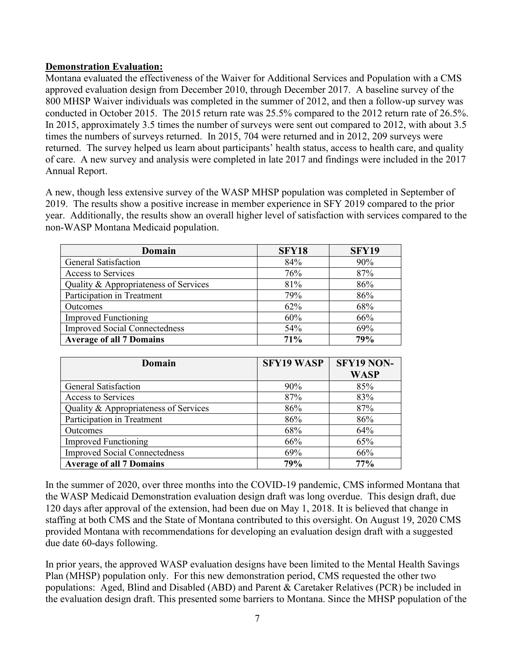#### **Demonstration Evaluation:**

Montana evaluated the effectiveness of the Waiver for Additional Services and Population with a CMS approved evaluation design from December 2010, through December 2017. A baseline survey of the 800 MHSP Waiver individuals was completed in the summer of 2012, and then a follow-up survey was conducted in October 2015. The 2015 return rate was 25.5% compared to the 2012 return rate of 26.5%. In 2015, approximately 3.5 times the number of surveys were sent out compared to 2012, with about 3.5 times the numbers of surveys returned. In 2015, 704 were returned and in 2012, 209 surveys were returned. The survey helped us learn about participants' health status, access to health care, and quality of care. A new survey and analysis were completed in late 2017 and findings were included in the 2017 Annual Report.

A new, though less extensive survey of the WASP MHSP population was completed in September of 2019. The results show a positive increase in member experience in SFY 2019 compared to the prior year. Additionally, the results show an overall higher level of satisfaction with services compared to the non-WASP Montana Medicaid population.

| Domain                                | SFY18 | <b>SFY19</b> |
|---------------------------------------|-------|--------------|
| <b>General Satisfaction</b>           | 84%   | 90%          |
| Access to Services                    | 76%   | 87%          |
| Quality & Appropriateness of Services | 81%   | 86%          |
| Participation in Treatment            | 79%   | 86%          |
| Outcomes                              | 62%   | 68%          |
| <b>Improved Functioning</b>           | 60%   | 66%          |
| <b>Improved Social Connectedness</b>  | 54%   | 69%          |
| <b>Average of all 7 Domains</b>       | 71%   | 79%          |

| Domain                                | <b>SFY19 WASP</b> | SFY19 NON-  |
|---------------------------------------|-------------------|-------------|
|                                       |                   | <b>WASP</b> |
| <b>General Satisfaction</b>           | $90\%$            | 85%         |
| Access to Services                    | 87%               | 83%         |
| Quality & Appropriateness of Services | 86%               | 87%         |
| Participation in Treatment            | 86%               | 86%         |
| Outcomes                              | 68%               | 64%         |
| <b>Improved Functioning</b>           | 66%               | 65%         |
| <b>Improved Social Connectedness</b>  | 69%               | 66%         |
| <b>Average of all 7 Domains</b>       | 79%               | 77%         |

In the summer of 2020, over three months into the COVID-19 pandemic, CMS informed Montana that the WASP Medicaid Demonstration evaluation design draft was long overdue. This design draft, due 120 days after approval of the extension, had been due on May 1, 2018. It is believed that change in staffing at both CMS and the State of Montana contributed to this oversight. On August 19, 2020 CMS provided Montana with recommendations for developing an evaluation design draft with a suggested due date 60-days following.

In prior years, the approved WASP evaluation designs have been limited to the Mental Health Savings Plan (MHSP) population only. For this new demonstration period, CMS requested the other two populations: Aged, Blind and Disabled (ABD) and Parent & Caretaker Relatives (PCR) be included in the evaluation design draft. This presented some barriers to Montana. Since the MHSP population of the